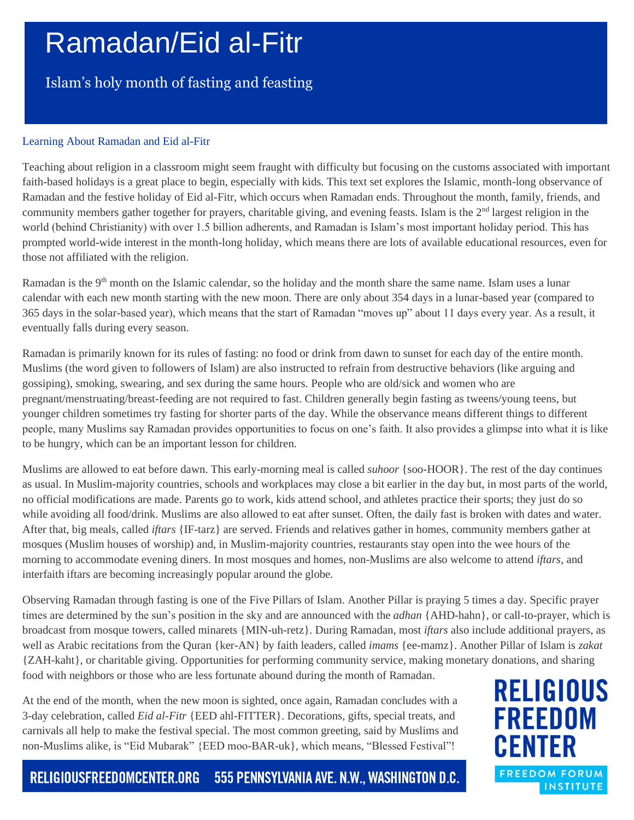# Ramadan/Eid al-Fitr

### Islam's holy month of fasting and feasting

#### Learning About Ramadan and Eid al-Fitr

Teaching about religion in a classroom might seem fraught with difficulty but focusing on the customs associated with important faith-based holidays is a great place to begin, especially with kids. This text set explores the Islamic, month-long observance of Ramadan and the festive holiday of Eid al-Fitr, which occurs when Ramadan ends. Throughout the month, family, friends, and community members gather together for prayers, charitable giving, and evening feasts. Islam is the  $2<sup>nd</sup>$  largest religion in the world (behind Christianity) with over 1.5 billion adherents, and Ramadan is Islam's most important holiday period. This has prompted world-wide interest in the month-long holiday, which means there are lots of available educational resources, even for those not affiliated with the religion.

Ramadan is the 9<sup>th</sup> month on the Islamic calendar, so the holiday and the month share the same name. Islam uses a lunar calendar with each new month starting with the new moon. There are only about 354 days in a lunar-based year (compared to 365 days in the solar-based year), which means that the start of Ramadan "moves up" about 11 days every year. As a result, it eventually falls during every season.

Ramadan is primarily known for its rules of fasting: no food or drink from dawn to sunset for each day of the entire month. Muslims (the word given to followers of Islam) are also instructed to refrain from destructive behaviors (like arguing and gossiping), smoking, swearing, and sex during the same hours. People who are old/sick and women who are pregnant/menstruating/breast-feeding are not required to fast. Children generally begin fasting as tweens/young teens, but younger children sometimes try fasting for shorter parts of the day. While the observance means different things to different people, many Muslims say Ramadan provides opportunities to focus on one's faith. It also provides a glimpse into what it is like to be hungry, which can be an important lesson for children.

Muslims are allowed to eat before dawn. This early-morning meal is called *suhoor* {soo-HOOR}. The rest of the day continues as usual. In Muslim-majority countries, schools and workplaces may close a bit earlier in the day but, in most parts of the world, no official modifications are made. Parents go to work, kids attend school, and athletes practice their sports; they just do so while avoiding all food/drink. Muslims are also allowed to eat after sunset. Often, the daily fast is broken with dates and water. After that, big meals, called *iftars* {IF-tarz} are served. Friends and relatives gather in homes, community members gather at mosques (Muslim houses of worship) and, in Muslim-majority countries, restaurants stay open into the wee hours of the morning to accommodate evening diners. In most mosques and homes, non-Muslims are also welcome to attend *iftars,* and interfaith iftars are becoming increasingly popular around the globe.

Observing Ramadan through fasting is one of the Five Pillars of Islam. Another Pillar is praying 5 times a day. Specific prayer times are determined by the sun's position in the sky and are announced with the *adhan* {AHD-hahn}, or call-to-prayer, which is broadcast from mosque towers, called minarets {MIN-uh-retz}. During Ramadan, most *iftars* also include additional prayers, as well as Arabic recitations from the Quran {ker-AN} by faith leaders, called *imams* {ee-mamz}. Another Pillar of Islam is *zakat* {ZAH-kaht}, or charitable giving. Opportunities for performing community service, making monetary donations, and sharing food with neighbors or those who are less fortunate abound during the month of Ramadan.

At the end of the month, when the new moon is sighted, once again, Ramadan concludes with a 3-day celebration, called *Eid al-Fitr* {EED ahl-FITTER}. Decorations, gifts, special treats, and carnivals all help to make the festival special. The most common greeting, said by Muslims and non-Muslims alike, is "Eid Mubarak" {EED moo-BAR-uk}, which means, "Blessed Festival"!

**RELIGIOUS FREEDOM CENTER FREEDOM FORUM INSTITUTE** 

555 PENNSYLVANIA AVE. N.W., WASHINGTON D.C. RELIGIOUSFREEDOMCENTER.ORG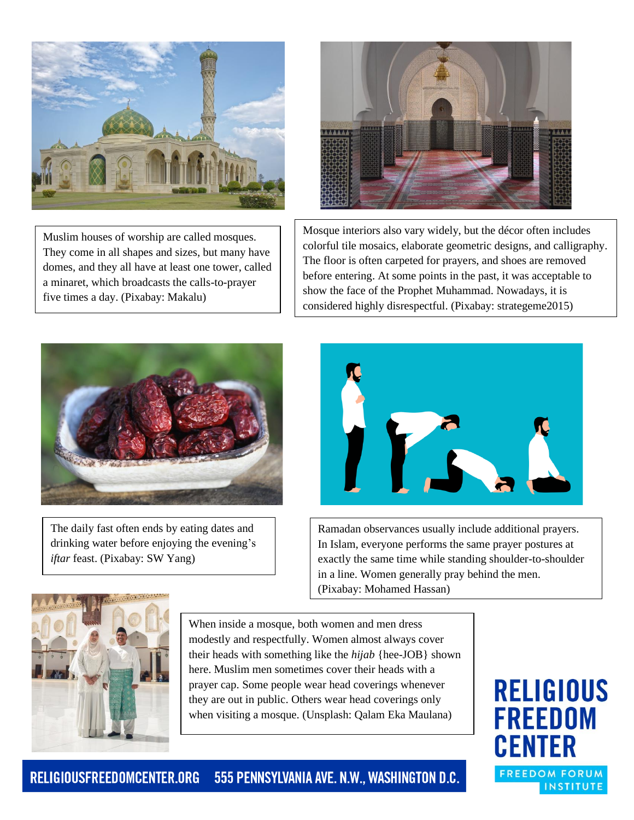

Muslim houses of worship are called mosques. They come in all shapes and sizes, but many have domes, and they all have at least one tower, called a minaret, which broadcasts the calls-to-prayer five times a day. (Pixabay: Makalu)



Mosque interiors also vary widely, but the décor often includes colorful tile mosaics, elaborate geometric designs, and calligraphy. The floor is often carpeted for prayers, and shoes are removed before entering. At some points in the past, it was acceptable to show the face of the Prophet Muhammad. Nowadays, it is considered highly disrespectful. (Pixabay: strategeme2015)



The daily fast often ends by eating dates and drinking water before enjoying the evening's *iftar* feast. (Pixabay: SW Yang)



Ramadan observances usually include additional prayers. In Islam, everyone performs the same prayer postures at exactly the same time while standing shoulder-to-shoulder in a line. Women generally pray behind the men. (Pixabay: Mohamed Hassan)



When inside a mosque, both women and men dress modestly and respectfully. Women almost always cover their heads with something like the *hijab* {hee-JOB} shown here. Muslim men sometimes cover their heads with a prayer cap. Some people wear head coverings whenever they are out in public. Others wear head coverings only when visiting a mosque. (Unsplash: Qalam Eka Maulana)

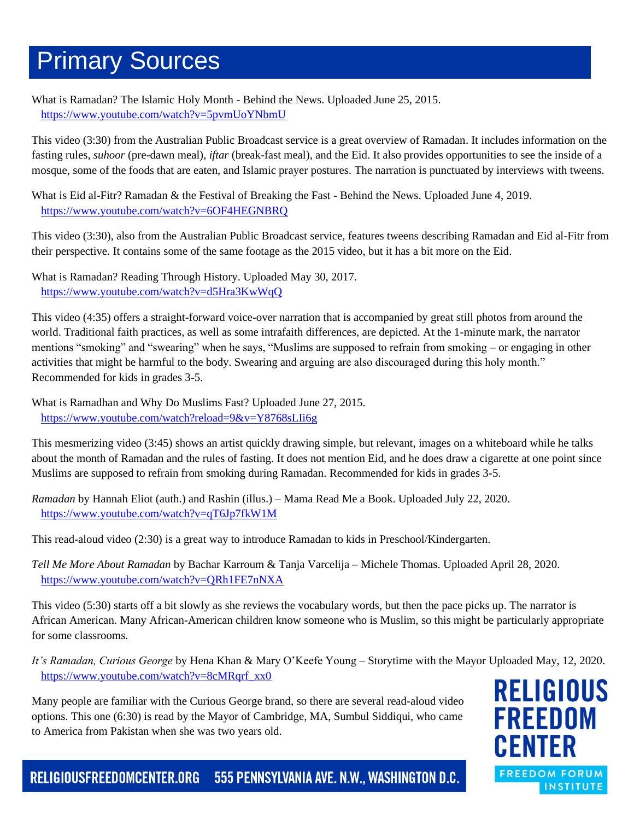### Primary Sources

What is Ramadan? The Islamic Holy Month - Behind the News. Uploaded June 25, 2015. <https://www.youtube.com/watch?v=5pvmUoYNbmU>

This video (3:30) from the Australian Public Broadcast service is a great overview of Ramadan. It includes information on the fasting rules, *suhoor* (pre-dawn meal), *iftar* (break-fast meal), and the Eid. It also provides opportunities to see the inside of a mosque, some of the foods that are eaten, and Islamic prayer postures. The narration is punctuated by interviews with tweens.

What is Eid al-Fitr? Ramadan & the Festival of Breaking the Fast - Behind the News. Uploaded June 4, 2019. <https://www.youtube.com/watch?v=6OF4HEGNBRQ>

This video (3:30), also from the Australian Public Broadcast service, features tweens describing Ramadan and Eid al-Fitr from their perspective. It contains some of the same footage as the 2015 video, but it has a bit more on the Eid.

What is Ramadan? Reading Through History. Uploaded May 30, 2017. <https://www.youtube.com/watch?v=d5Hra3KwWqQ>

This video (4:35) offers a straight-forward voice-over narration that is accompanied by great still photos from around the world. Traditional faith practices, as well as some intrafaith differences, are depicted. At the 1-minute mark, the narrator mentions "smoking" and "swearing" when he says, "Muslims are supposed to refrain from smoking – or engaging in other activities that might be harmful to the body. Swearing and arguing are also discouraged during this holy month." Recommended for kids in grades 3-5.

What is Ramadhan and Why Do Muslims Fast? Uploaded June 27, 2015. <https://www.youtube.com/watch?reload=9&v=Y8768sLIi6g>

This mesmerizing video (3:45) shows an artist quickly drawing simple, but relevant, images on a whiteboard while he talks about the month of Ramadan and the rules of fasting. It does not mention Eid, and he does draw a cigarette at one point since Muslims are supposed to refrain from smoking during Ramadan. Recommended for kids in grades 3-5.

*Ramadan* by Hannah Eliot (auth.) and Rashin (illus.) – Mama Read Me a Book. Uploaded July 22, 2020. <https://www.youtube.com/watch?v=qT6Jp7fkW1M>

This read-aloud video (2:30) is a great way to introduce Ramadan to kids in Preschool/Kindergarten.

*Tell Me More About Ramadan* by Bachar Karroum & Tanja Varcelija – Michele Thomas. Uploaded April 28, 2020. <https://www.youtube.com/watch?v=QRh1FE7nNXA>

This video (5:30) starts off a bit slowly as she reviews the vocabulary words, but then the pace picks up. The narrator is African American. Many African-American children know someone who is Muslim, so this might be particularly appropriate for some classrooms.

*It's Ramadan, Curious George* by Hena Khan & Mary O'Keefe Young – Storytime with the Mayor Uploaded May, 12, 2020. [https://www.youtube.com/watch?v=8cMRqrf\\_xx0](https://www.youtube.com/watch?v=8cMRqrf_xx0)

Many people are familiar with the Curious George brand, so there are several read-aloud video options. This one (6:30) is read by the Mayor of Cambridge, MA, Sumbul Siddiqui, who came to America from Pakistan when she was two years old.

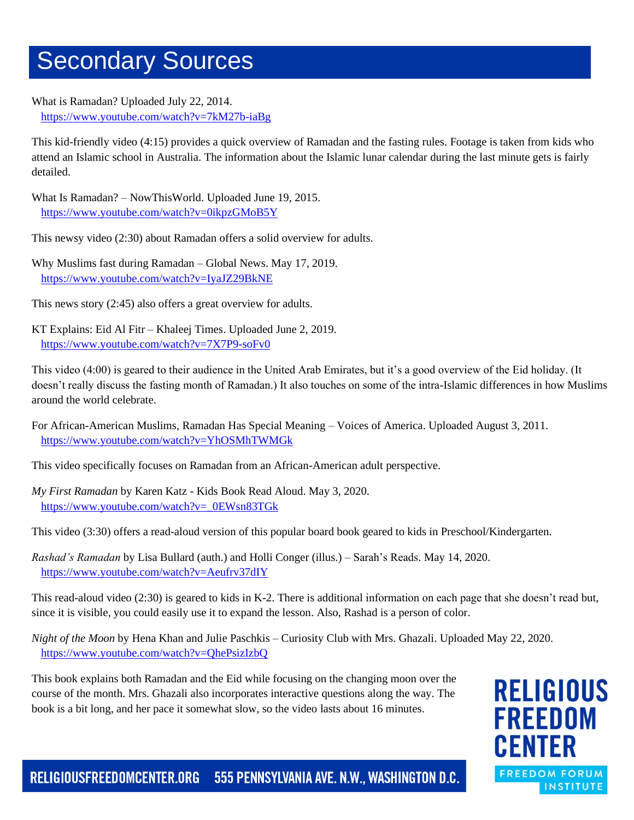### Secondary Sources

What is Ramadan? Uploaded July 22, 2014. <https://www.youtube.com/watch?v=7kM27b-iaBg>

This kid-friendly video (4:15) provides a quick overview of Ramadan and the fasting rules. Footage is taken from kids who attend an Islamic school in Australia. The information about the Islamic lunar calendar during the last minute gets is fairly detailed.

What Is Ramadan? – NowThisWorld. Uploaded June 19, 2015. <https://www.youtube.com/watch?v=0ikpzGMoB5Y>

This newsy video (2:30) about Ramadan offers a solid overview for adults.

Why Muslims fast during Ramadan – Global News. May 17, 2019. <https://www.youtube.com/watch?v=IyaJZ29BkNE>

This news story (2:45) also offers a great overview for adults.

KT Explains: Eid Al Fitr – Khaleej Times. Uploaded June 2, 2019. <https://www.youtube.com/watch?v=7X7P9-soFv0>

This video (4:00) is geared to their audience in the United Arab Emirates, but it's a good overview of the Eid holiday. (It doesn't really discuss the fasting month of Ramadan.) It also touches on some of the intra-Islamic differences in how Muslims around the world celebrate.

For African-American Muslims, Ramadan Has Special Meaning – Voices of America. Uploaded August 3, 2011. <https://www.youtube.com/watch?v=YhOSMhTWMGk>

This video specifically focuses on Ramadan from an African-American adult perspective.

*My First Ramadan* by Karen Katz - Kids Book Read Aloud. May 3, 2020. [https://www.youtube.com/watch?v=\\_0EWsn83TGk](https://www.youtube.com/watch?v=_0EWsn83TGk)

This video (3:30) offers a read-aloud version of this popular board book geared to kids in Preschool/Kindergarten.

*Rashad's Ramadan* by Lisa Bullard (auth.) and Holli Conger (illus.) – Sarah's Reads. May 14, 2020. <https://www.youtube.com/watch?v=Aeufrv37dIY>

This read-aloud video (2:30) is geared to kids in K-2. There is additional information on each page that she doesn't read but, since it is visible, you could easily use it to expand the lesson. Also, Rashad is a person of color.

*Night of the Moon* by Hena Khan and Julie Paschkis – Curiosity Club with Mrs. Ghazali. Uploaded May 22, 2020. <https://www.youtube.com/watch?v=QhePsizIzbQ>

This book explains both Ramadan and the Eid while focusing on the changing moon over the course of the month. Mrs. Ghazali also incorporates interactive questions along the way. The book is a bit long, and her pace it somewhat slow, so the video lasts about 16 minutes.

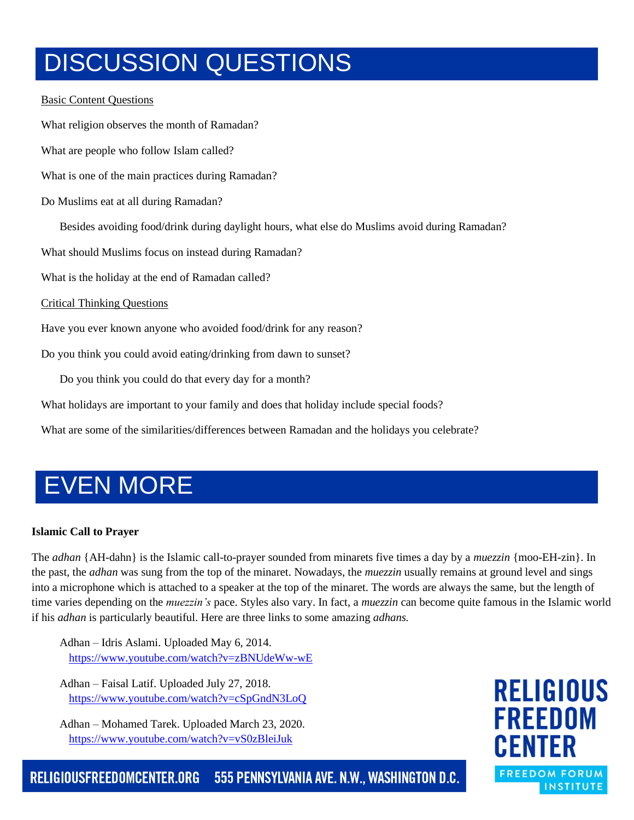## DISCUSSION QUESTIONS

#### Basic Content Questions

What religion observes the month of Ramadan? What are people who follow Islam called? What is one of the main practices during Ramadan? Do Muslims eat at all during Ramadan? Besides avoiding food/drink during daylight hours, what else do Muslims avoid during Ramadan? What should Muslims focus on instead during Ramadan? What is the holiday at the end of Ramadan called? Critical Thinking Questions Have you ever known anyone who avoided food/drink for any reason? Do you think you could avoid eating/drinking from dawn to sunset? Do you think you could do that every day for a month?

What holidays are important to your family and does that holiday include special foods?

What are some of the similarities/differences between Ramadan and the holidays you celebrate?

## EVEN MORE

#### **Islamic Call to Prayer**

The *adhan* {AH-dahn} is the Islamic call-to-prayer sounded from minarets five times a day by a *muezzin* {moo-EH-zin}. In the past, the *adhan* was sung from the top of the minaret. Nowadays, the *muezzin* usually remains at ground level and sings into a microphone which is attached to a speaker at the top of the minaret. The words are always the same, but the length of time varies depending on the *muezzin's* pace. Styles also vary. In fact, a *muezzin* can become quite famous in the Islamic world if his *adhan* is particularly beautiful. Here are three links to some amazing *adhans.*

Adhan – Idris Aslami. Uploaded May 6, 2014. <https://www.youtube.com/watch?v=zBNUdeWw-wE>

Adhan – Faisal Latif. Uploaded July 27, 2018. <https://www.youtube.com/watch?v=cSpGndN3LoQ>

Adhan – Mohamed Tarek. Uploaded March 23, 2020. <https://www.youtube.com/watch?v=vS0zBleiJuk>

**RELIGIOUS FREEDOM CENTER FREEDOM FORUM INSTITUTE** 

RELIGIOUSFREEDOMCENTER.ORG 555 PENNSYLVANIA AVE. N.W., WASHINGTON D.C.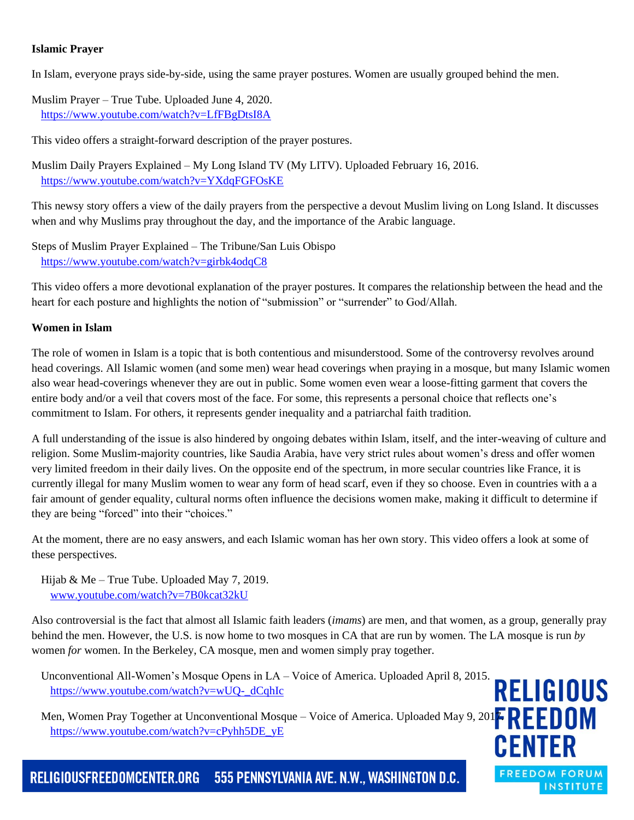#### **Islamic Prayer**

In Islam, everyone prays side-by-side, using the same prayer postures. Women are usually grouped behind the men.

Muslim Prayer – True Tube. Uploaded June 4, 2020. <https://www.youtube.com/watch?v=LfFBgDtsI8A>

This video offers a straight-forward description of the prayer postures.

Muslim Daily Prayers Explained – My Long Island TV (My LITV). Uploaded February 16, 2016. <https://www.youtube.com/watch?v=YXdqFGFOsKE>

This newsy story offers a view of the daily prayers from the perspective a devout Muslim living on Long Island. It discusses when and why Muslims pray throughout the day, and the importance of the Arabic language.

Steps of Muslim Prayer Explained – The Tribune/San Luis Obispo <https://www.youtube.com/watch?v=girbk4odqC8>

This video offers a more devotional explanation of the prayer postures. It compares the relationship between the head and the heart for each posture and highlights the notion of "submission" or "surrender" to God/Allah.

#### **Women in Islam**

The role of women in Islam is a topic that is both contentious and misunderstood. Some of the controversy revolves around head coverings. All Islamic women (and some men) wear head coverings when praying in a mosque, but many Islamic women also wear head-coverings whenever they are out in public. Some women even wear a loose-fitting garment that covers the entire body and/or a veil that covers most of the face. For some, this represents a personal choice that reflects one's commitment to Islam. For others, it represents gender inequality and a patriarchal faith tradition.

A full understanding of the issue is also hindered by ongoing debates within Islam, itself, and the inter-weaving of culture and religion. Some Muslim-majority countries, like Saudia Arabia, have very strict rules about women's dress and offer women very limited freedom in their daily lives. On the opposite end of the spectrum, in more secular countries like France, it is currently illegal for many Muslim women to wear any form of head scarf, even if they so choose. Even in countries with a a fair amount of gender equality, cultural norms often influence the decisions women make, making it difficult to determine if they are being "forced" into their "choices."

At the moment, there are no easy answers, and each Islamic woman has her own story. This video offers a look at some of these perspectives.

Hijab & Me – True Tube. Uploaded May 7, 2019. [www.youtube.com/watch?v=7B0kcat32kU](http://www.youtube.com/watch?v=7B0kcat32kU)

Also controversial is the fact that almost all Islamic faith leaders (*imams*) are men, and that women, as a group, generally pray behind the men. However, the U.S. is now home to two mosques in CA that are run by women. The LA mosque is run *by* women *for* women. In the Berkeley, CA mosque, men and women simply pray together.

Unconventional All-Women's Mosque Opens in LA – Voice of America. Uploaded April 8, 2015. [https://www.youtube.com/watch?v=wUQ-\\_dCqhIc](https://www.youtube.com/watch?v=wUQ-_dCqhIc)

Men, Women Pray Together at Unconventional Mosque – Voice of America. Uploaded May 9, 201<mark>7. REDOM</mark> [https://www.youtube.com/watch?v=cPyhh5DE\\_yE](https://www.youtube.com/watch?v=cPyhh5DE_yE)



555 PENNSYLVANIA AVE. N.W., WASHINGTON D.C. RELIGIOUSFREEDOMCENTER.ORG